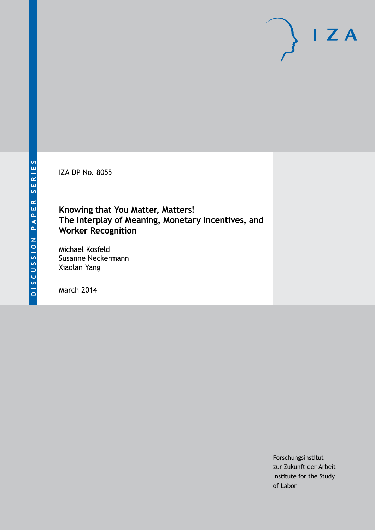IZA DP No. 8055

## **Knowing that You Matter, Matters! The Interplay of Meaning, Monetary Incentives, and Worker Recognition**

Michael Kosfeld Susanne Neckermann Xiaolan Yang

March 2014

Forschungsinstitut zur Zukunft der Arbeit Institute for the Study of Labor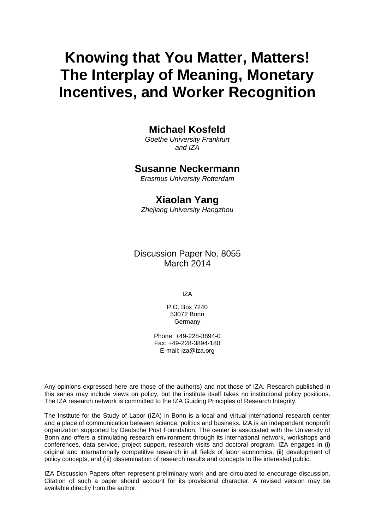# **Knowing that You Matter, Matters! The Interplay of Meaning, Monetary Incentives, and Worker Recognition**

### **Michael Kosfeld**

*Goethe University Frankfurt and IZA*

### **Susanne Neckermann**

*Erasmus University Rotterdam*

### **Xiaolan Yang**

*Zhejiang University Hangzhou*

Discussion Paper No. 8055 March 2014

IZA

P.O. Box 7240 53072 Bonn Germany

Phone: +49-228-3894-0 Fax: +49-228-3894-180 E-mail: [iza@iza.org](mailto:iza@iza.org)

Any opinions expressed here are those of the author(s) and not those of IZA. Research published in this series may include views on policy, but the institute itself takes no institutional policy positions. The IZA research network is committed to the IZA Guiding Principles of Research Integrity.

The Institute for the Study of Labor (IZA) in Bonn is a local and virtual international research center and a place of communication between science, politics and business. IZA is an independent nonprofit organization supported by Deutsche Post Foundation. The center is associated with the University of Bonn and offers a stimulating research environment through its international network, workshops and conferences, data service, project support, research visits and doctoral program. IZA engages in (i) original and internationally competitive research in all fields of labor economics, (ii) development of policy concepts, and (iii) dissemination of research results and concepts to the interested public.

<span id="page-1-0"></span>IZA Discussion Papers often represent preliminary work and are circulated to encourage discussion. Citation of such a paper should account for its provisional character. A revised version may be available directly from the author.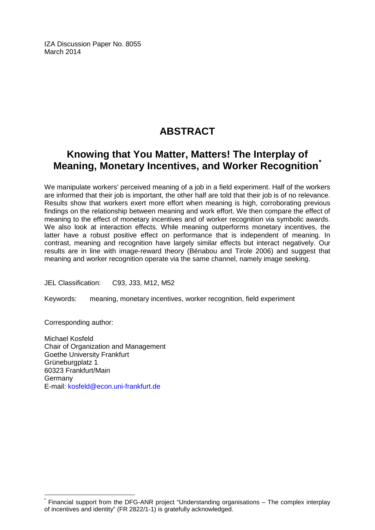IZA Discussion Paper No. 8055 March 2014

## **ABSTRACT**

## **Knowing that You Matter, Matters! The Interplay of Meaning, Monetary Incentives, and Worker Recognition[\\*](#page-1-0)**

We manipulate workers' perceived meaning of a job in a field experiment. Half of the workers are informed that their job is important, the other half are told that their job is of no relevance. Results show that workers exert more effort when meaning is high, corroborating previous findings on the relationship between meaning and work effort. We then compare the effect of meaning to the effect of monetary incentives and of worker recognition via symbolic awards. We also look at interaction effects. While meaning outperforms monetary incentives, the latter have a robust positive effect on performance that is independent of meaning. In contrast, meaning and recognition have largely similar effects but interact negatively. Our results are in line with image-reward theory (Bénabou and Tirole 2006) and suggest that meaning and worker recognition operate via the same channel, namely image seeking.

JEL Classification: C93, J33, M12, M52

Keywords: meaning, monetary incentives, worker recognition, field experiment

Corresponding author:

Michael Kosfeld Chair of Organization and Management Goethe University Frankfurt Grüneburgplatz 1 60323 Frankfurt/Main Germany E-mail: [kosfeld@econ.uni-frankfurt.de](mailto:kosfeld@econ.uni-frankfurt.de)

Financial support from the DFG-ANR project "Understanding organisations – The complex interplay of incentives and identity" (FR 2822/1-1) is gratefully acknowledged.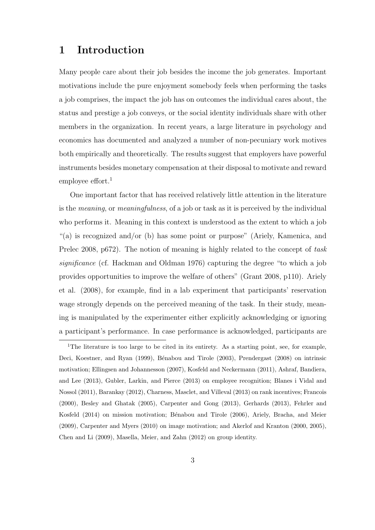## 1 Introduction

Many people care about their job besides the income the job generates. Important motivations include the pure enjoyment somebody feels when performing the tasks a job comprises, the impact the job has on outcomes the individual cares about, the status and prestige a job conveys, or the social identity individuals share with other members in the organization. In recent years, a large literature in psychology and economics has documented and analyzed a number of non-pecuniary work motives both empirically and theoretically. The results suggest that employers have powerful instruments besides monetary compensation at their disposal to motivate and reward employee effort.<sup>1</sup>

One important factor that has received relatively little attention in the literature is the meaning, or meaningfulness, of a job or task as it is perceived by the individual who performs it. Meaning in this context is understood as the extent to which a job "(a) is recognized and/or (b) has some point or purpose" (Ariely, Kamenica, and Prelec 2008, p672). The notion of meaning is highly related to the concept of task significance (cf. Hackman and Oldman 1976) capturing the degree "to which a job provides opportunities to improve the welfare of others" (Grant 2008, p110). Ariely et al. (2008), for example, find in a lab experiment that participants' reservation wage strongly depends on the perceived meaning of the task. In their study, meaning is manipulated by the experimenter either explicitly acknowledging or ignoring a participant's performance. In case performance is acknowledged, participants are

<sup>&</sup>lt;sup>1</sup>The literature is too large to be cited in its entirety. As a starting point, see, for example, Deci, Koestner, and Ryan (1999), Bénabou and Tirole (2003), Prendergast (2008) on intrinsic motivation; Ellingsen and Johannesson (2007), Kosfeld and Neckermann (2011), Ashraf, Bandiera, and Lee (2013), Gubler, Larkin, and Pierce (2013) on employee recognition; Blanes i Vidal and Nossol (2011), Barankay (2012), Charness, Masclet, and Villeval (2013) on rank incentives; Francois (2000), Besley and Ghatak (2005), Carpenter and Gong (2013), Gerhards (2013), Fehrler and Kosfeld (2014) on mission motivation; Bénabou and Tirole (2006), Ariely, Bracha, and Meier (2009), Carpenter and Myers (2010) on image motivation; and Akerlof and Kranton (2000, 2005), Chen and Li (2009), Masella, Meier, and Zahn (2012) on group identity.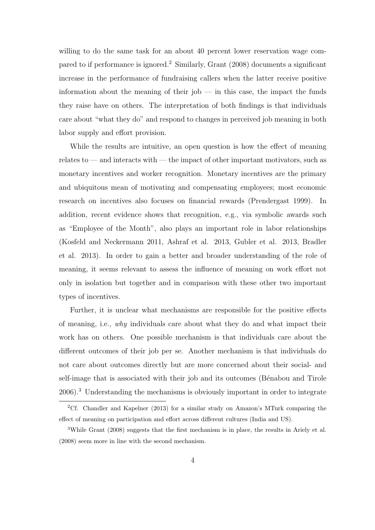willing to do the same task for an about 40 percent lower reservation wage compared to if performance is ignored.<sup>2</sup> Similarly, Grant (2008) documents a significant increase in the performance of fundraising callers when the latter receive positive information about the meaning of their job  $-$  in this case, the impact the funds they raise have on others. The interpretation of both findings is that individuals care about "what they do" and respond to changes in perceived job meaning in both labor supply and effort provision.

While the results are intuitive, an open question is how the effect of meaning relates to — and interacts with — the impact of other important motivators, such as monetary incentives and worker recognition. Monetary incentives are the primary and ubiquitous mean of motivating and compensating employees; most economic research on incentives also focuses on financial rewards (Prendergast 1999). In addition, recent evidence shows that recognition, e.g., via symbolic awards such as "Employee of the Month", also plays an important role in labor relationships (Kosfeld and Neckermann 2011, Ashraf et al. 2013, Gubler et al. 2013, Bradler et al. 2013). In order to gain a better and broader understanding of the role of meaning, it seems relevant to assess the influence of meaning on work effort not only in isolation but together and in comparison with these other two important types of incentives.

Further, it is unclear what mechanisms are responsible for the positive effects of meaning, i.e., why individuals care about what they do and what impact their work has on others. One possible mechanism is that individuals care about the different outcomes of their job per se. Another mechanism is that individuals do not care about outcomes directly but are more concerned about their social- and self-image that is associated with their job and its outcomes (Bénabou and Tirole 2006).<sup>3</sup> Understanding the mechanisms is obviously important in order to integrate

<sup>2</sup>Cf. Chandler and Kapelner (2013) for a similar study on Amazon's MTurk comparing the effect of meaning on participation and effort across different cultures (India and US).

<sup>3</sup>While Grant (2008) suggests that the first mechanism is in place, the results in Ariely et al. (2008) seem more in line with the second mechanism.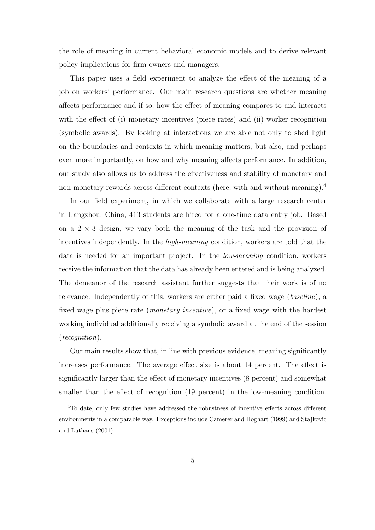the role of meaning in current behavioral economic models and to derive relevant policy implications for firm owners and managers.

This paper uses a field experiment to analyze the effect of the meaning of a job on workers' performance. Our main research questions are whether meaning affects performance and if so, how the effect of meaning compares to and interacts with the effect of (i) monetary incentives (piece rates) and (ii) worker recognition (symbolic awards). By looking at interactions we are able not only to shed light on the boundaries and contexts in which meaning matters, but also, and perhaps even more importantly, on how and why meaning affects performance. In addition, our study also allows us to address the effectiveness and stability of monetary and non-monetary rewards across different contexts (here, with and without meaning).<sup>4</sup>

In our field experiment, in which we collaborate with a large research center in Hangzhou, China, 413 students are hired for a one-time data entry job. Based on a  $2 \times 3$  design, we vary both the meaning of the task and the provision of incentives independently. In the high-meaning condition, workers are told that the data is needed for an important project. In the low-meaning condition, workers receive the information that the data has already been entered and is being analyzed. The demeanor of the research assistant further suggests that their work is of no relevance. Independently of this, workers are either paid a fixed wage (baseline), a fixed wage plus piece rate (monetary incentive), or a fixed wage with the hardest working individual additionally receiving a symbolic award at the end of the session (recognition).

Our main results show that, in line with previous evidence, meaning significantly increases performance. The average effect size is about 14 percent. The effect is significantly larger than the effect of monetary incentives (8 percent) and somewhat smaller than the effect of recognition (19 percent) in the low-meaning condition.

<sup>4</sup>To date, only few studies have addressed the robustness of incentive effects across different environments in a comparable way. Exceptions include Camerer and Hoghart (1999) and Stajkovic and Luthans (2001).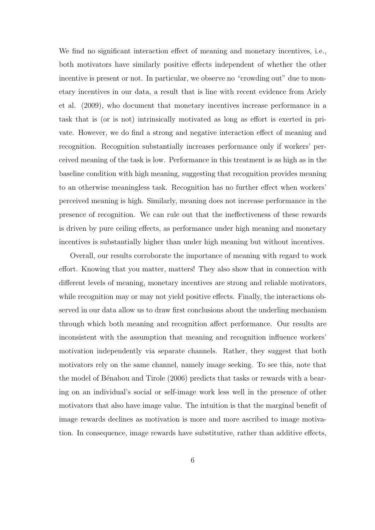We find no significant interaction effect of meaning and monetary incentives, i.e., both motivators have similarly positive effects independent of whether the other incentive is present or not. In particular, we observe no "crowding out" due to monetary incentives in our data, a result that is line with recent evidence from Ariely et al. (2009), who document that monetary incentives increase performance in a task that is (or is not) intrinsically motivated as long as effort is exerted in private. However, we do find a strong and negative interaction effect of meaning and recognition. Recognition substantially increases performance only if workers' perceived meaning of the task is low. Performance in this treatment is as high as in the baseline condition with high meaning, suggesting that recognition provides meaning to an otherwise meaningless task. Recognition has no further effect when workers' perceived meaning is high. Similarly, meaning does not increase performance in the presence of recognition. We can rule out that the ineffectiveness of these rewards is driven by pure ceiling effects, as performance under high meaning and monetary incentives is substantially higher than under high meaning but without incentives.

Overall, our results corroborate the importance of meaning with regard to work effort. Knowing that you matter, matters! They also show that in connection with different levels of meaning, monetary incentives are strong and reliable motivators, while recognition may or may not yield positive effects. Finally, the interactions observed in our data allow us to draw first conclusions about the underling mechanism through which both meaning and recognition affect performance. Our results are inconsistent with the assumption that meaning and recognition influence workers' motivation independently via separate channels. Rather, they suggest that both motivators rely on the same channel, namely image seeking. To see this, note that the model of Bénabou and Tirole (2006) predicts that tasks or rewards with a bearing on an individual's social or self-image work less well in the presence of other motivators that also have image value. The intuition is that the marginal benefit of image rewards declines as motivation is more and more ascribed to image motivation. In consequence, image rewards have substitutive, rather than additive effects,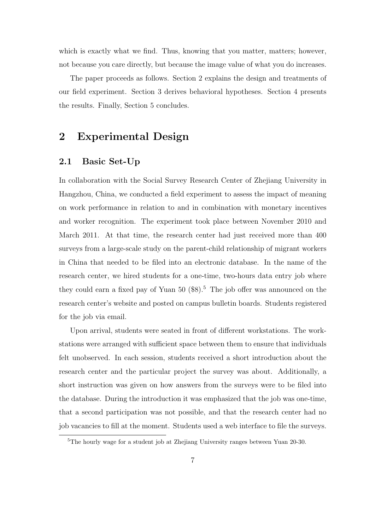which is exactly what we find. Thus, knowing that you matter, matters; however, not because you care directly, but because the image value of what you do increases.

The paper proceeds as follows. Section 2 explains the design and treatments of our field experiment. Section 3 derives behavioral hypotheses. Section 4 presents the results. Finally, Section 5 concludes.

## 2 Experimental Design

### 2.1 Basic Set-Up

In collaboration with the Social Survey Research Center of Zhejiang University in Hangzhou, China, we conducted a field experiment to assess the impact of meaning on work performance in relation to and in combination with monetary incentives and worker recognition. The experiment took place between November 2010 and March 2011. At that time, the research center had just received more than 400 surveys from a large-scale study on the parent-child relationship of migrant workers in China that needed to be filed into an electronic database. In the name of the research center, we hired students for a one-time, two-hours data entry job where they could earn a fixed pay of Yuan  $50$  (\$8).<sup>5</sup> The job offer was announced on the research center's website and posted on campus bulletin boards. Students registered for the job via email.

Upon arrival, students were seated in front of different workstations. The workstations were arranged with sufficient space between them to ensure that individuals felt unobserved. In each session, students received a short introduction about the research center and the particular project the survey was about. Additionally, a short instruction was given on how answers from the surveys were to be filed into the database. During the introduction it was emphasized that the job was one-time, that a second participation was not possible, and that the research center had no job vacancies to fill at the moment. Students used a web interface to file the surveys.

<sup>5</sup>The hourly wage for a student job at Zhejiang University ranges between Yuan 20-30.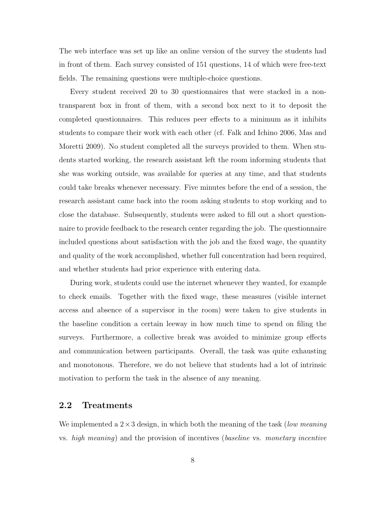The web interface was set up like an online version of the survey the students had in front of them. Each survey consisted of 151 questions, 14 of which were free-text fields. The remaining questions were multiple-choice questions.

Every student received 20 to 30 questionnaires that were stacked in a nontransparent box in front of them, with a second box next to it to deposit the completed questionnaires. This reduces peer effects to a minimum as it inhibits students to compare their work with each other (cf. Falk and Ichino 2006, Mas and Moretti 2009). No student completed all the surveys provided to them. When students started working, the research assistant left the room informing students that she was working outside, was available for queries at any time, and that students could take breaks whenever necessary. Five minutes before the end of a session, the research assistant came back into the room asking students to stop working and to close the database. Subsequently, students were asked to fill out a short questionnaire to provide feedback to the research center regarding the job. The questionnaire included questions about satisfaction with the job and the fixed wage, the quantity and quality of the work accomplished, whether full concentration had been required, and whether students had prior experience with entering data.

During work, students could use the internet whenever they wanted, for example to check emails. Together with the fixed wage, these measures (visible internet access and absence of a supervisor in the room) were taken to give students in the baseline condition a certain leeway in how much time to spend on filing the surveys. Furthermore, a collective break was avoided to minimize group effects and communication between participants. Overall, the task was quite exhausting and monotonous. Therefore, we do not believe that students had a lot of intrinsic motivation to perform the task in the absence of any meaning.

### 2.2 Treatments

We implemented a  $2 \times 3$  design, in which both the meaning of the task (*low meaning*) vs. high meaning) and the provision of incentives (baseline vs. monetary incentive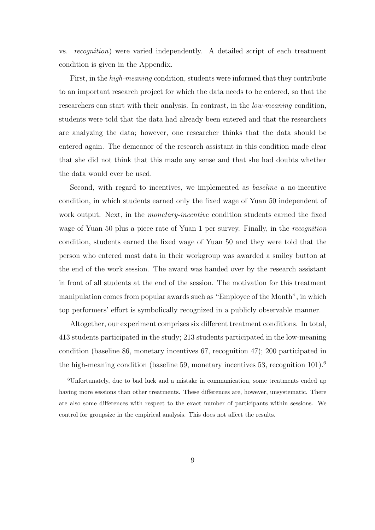vs. recognition) were varied independently. A detailed script of each treatment condition is given in the Appendix.

First, in the high-meaning condition, students were informed that they contribute to an important research project for which the data needs to be entered, so that the researchers can start with their analysis. In contrast, in the *low-meaning* condition, students were told that the data had already been entered and that the researchers are analyzing the data; however, one researcher thinks that the data should be entered again. The demeanor of the research assistant in this condition made clear that she did not think that this made any sense and that she had doubts whether the data would ever be used.

Second, with regard to incentives, we implemented as baseline a no-incentive condition, in which students earned only the fixed wage of Yuan 50 independent of work output. Next, in the *monetary-incentive* condition students earned the fixed wage of Yuan 50 plus a piece rate of Yuan 1 per survey. Finally, in the *recognition* condition, students earned the fixed wage of Yuan 50 and they were told that the person who entered most data in their workgroup was awarded a smiley button at the end of the work session. The award was handed over by the research assistant in front of all students at the end of the session. The motivation for this treatment manipulation comes from popular awards such as "Employee of the Month", in which top performers' effort is symbolically recognized in a publicly observable manner.

Altogether, our experiment comprises six different treatment conditions. In total, 413 students participated in the study; 213 students participated in the low-meaning condition (baseline 86, monetary incentives 67, recognition 47); 200 participated in the high-meaning condition (baseline 59, monetary incentives 53, recognition  $101$ ).<sup>6</sup>

<sup>6</sup>Unfortunately, due to bad luck and a mistake in communication, some treatments ended up having more sessions than other treatments. These differences are, however, unsystematic. There are also some differences with respect to the exact number of participants within sessions. We control for groupsize in the empirical analysis. This does not affect the results.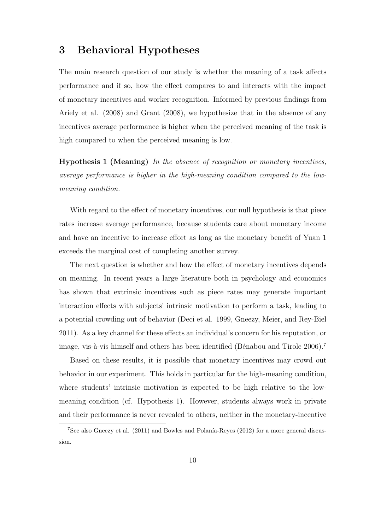## 3 Behavioral Hypotheses

The main research question of our study is whether the meaning of a task affects performance and if so, how the effect compares to and interacts with the impact of monetary incentives and worker recognition. Informed by previous findings from Ariely et al. (2008) and Grant (2008), we hypothesize that in the absence of any incentives average performance is higher when the perceived meaning of the task is high compared to when the perceived meaning is low.

Hypothesis 1 (Meaning) In the absence of recognition or monetary incentives, average performance is higher in the high-meaning condition compared to the lowmeaning condition.

With regard to the effect of monetary incentives, our null hypothesis is that piece rates increase average performance, because students care about monetary income and have an incentive to increase effort as long as the monetary benefit of Yuan 1 exceeds the marginal cost of completing another survey.

The next question is whether and how the effect of monetary incentives depends on meaning. In recent years a large literature both in psychology and economics has shown that extrinsic incentives such as piece rates may generate important interaction effects with subjects' intrinsic motivation to perform a task, leading to a potential crowding out of behavior (Deci et al. 1999, Gneezy, Meier, and Rey-Biel 2011). As a key channel for these effects an individual's concern for his reputation, or image, vis-à-vis himself and others has been identified (Bénabou and Tirole 2006).<sup>7</sup>

Based on these results, it is possible that monetary incentives may crowd out behavior in our experiment. This holds in particular for the high-meaning condition, where students' intrinsic motivation is expected to be high relative to the lowmeaning condition (cf. Hypothesis 1). However, students always work in private and their performance is never revealed to others, neither in the monetary-incentive

 $7$ See also Gneezy et al. (2011) and Bowles and Polanía-Reyes (2012) for a more general discussion.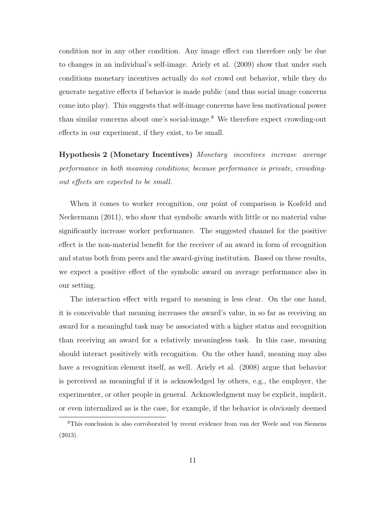condition nor in any other condition. Any image effect can therefore only be due to changes in an individual's self-image. Ariely et al. (2009) show that under such conditions monetary incentives actually do not crowd out behavior, while they do generate negative effects if behavior is made public (and thus social image concerns come into play). This suggests that self-image concerns have less motivational power than similar concerns about one's social-image.<sup>8</sup> We therefore expect crowding-out effects in our experiment, if they exist, to be small.

Hypothesis 2 (Monetary Incentives) Monetary incentives increase average performance in both meaning conditions; because performance is private, crowdingout effects are expected to be small.

When it comes to worker recognition, our point of comparison is Kosfeld and Neckermann (2011), who show that symbolic awards with little or no material value significantly increase worker performance. The suggested channel for the positive effect is the non-material benefit for the receiver of an award in form of recognition and status both from peers and the award-giving institution. Based on these results, we expect a positive effect of the symbolic award on average performance also in our setting.

The interaction effect with regard to meaning is less clear. On the one hand, it is conceivable that meaning increases the award's value, in so far as receiving an award for a meaningful task may be associated with a higher status and recognition than receiving an award for a relatively meaningless task. In this case, meaning should interact positively with recognition. On the other hand, meaning may also have a recognition element itself, as well. Ariely et al. (2008) argue that behavior is perceived as meaningful if it is acknowledged by others, e.g., the employer, the experimenter, or other people in general. Acknowledgment may be explicit, implicit, or even internalized as is the case, for example, if the behavior is obviously deemed

<sup>8</sup>This conclusion is also corroborated by recent evidence from van der Weele and von Siemens (2013).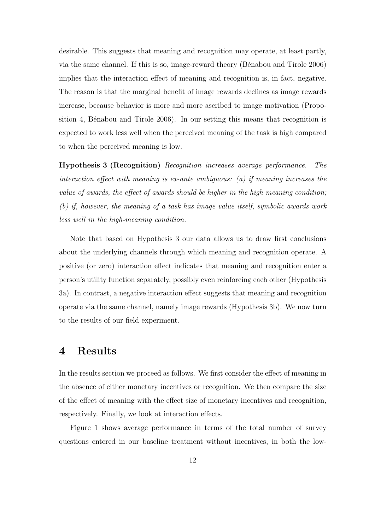desirable. This suggests that meaning and recognition may operate, at least partly, via the same channel. If this is so, image-reward theory (Bénabou and Tirole 2006) implies that the interaction effect of meaning and recognition is, in fact, negative. The reason is that the marginal benefit of image rewards declines as image rewards increase, because behavior is more and more ascribed to image motivation (Proposition 4, Bénabou and Tirole 2006). In our setting this means that recognition is expected to work less well when the perceived meaning of the task is high compared to when the perceived meaning is low.

Hypothesis 3 (Recognition) Recognition increases average performance. The interaction effect with meaning is ex-ante ambiguous: (a) if meaning increases the value of awards, the effect of awards should be higher in the high-meaning condition; (b) if, however, the meaning of a task has image value itself, symbolic awards work less well in the high-meaning condition.

Note that based on Hypothesis 3 our data allows us to draw first conclusions about the underlying channels through which meaning and recognition operate. A positive (or zero) interaction effect indicates that meaning and recognition enter a person's utility function separately, possibly even reinforcing each other (Hypothesis 3a). In contrast, a negative interaction effect suggests that meaning and recognition operate via the same channel, namely image rewards (Hypothesis 3b). We now turn to the results of our field experiment.

## 4 Results

In the results section we proceed as follows. We first consider the effect of meaning in the absence of either monetary incentives or recognition. We then compare the size of the effect of meaning with the effect size of monetary incentives and recognition, respectively. Finally, we look at interaction effects.

Figure 1 shows average performance in terms of the total number of survey questions entered in our baseline treatment without incentives, in both the low-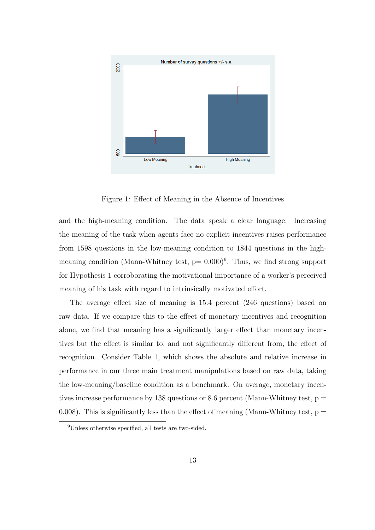

Figure 1: Effect of Meaning in the Absence of Incentives

and the high-meaning condition. The data speak a clear language. Increasing the meaning of the task when agents face no explicit incentives raises performance from 1598 questions in the low-meaning condition to 1844 questions in the highmeaning condition (Mann-Whitney test,  $p = 0.000$ )<sup>9</sup>. Thus, we find strong support for Hypothesis 1 corroborating the motivational importance of a worker's perceived meaning of his task with regard to intrinsically motivated effort.

The average effect size of meaning is 15.4 percent (246 questions) based on raw data. If we compare this to the effect of monetary incentives and recognition alone, we find that meaning has a significantly larger effect than monetary incentives but the effect is similar to, and not significantly different from, the effect of recognition. Consider Table 1, which shows the absolute and relative increase in performance in our three main treatment manipulations based on raw data, taking the low-meaning/baseline condition as a benchmark. On average, monetary incentives increase performance by 138 questions or 8.6 percent (Mann-Whitney test,  $p =$ 0.008). This is significantly less than the effect of meaning (Mann-Whitney test,  $p =$ 

<sup>9</sup>Unless otherwise specified, all tests are two-sided.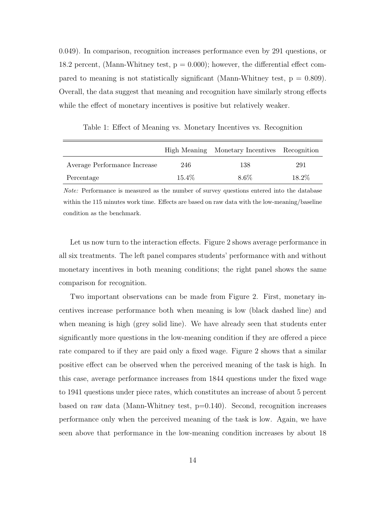0.049). In comparison, recognition increases performance even by 291 questions, or 18.2 percent, (Mann-Whitney test,  $p = 0.000$ ); however, the differential effect compared to meaning is not statistically significant (Mann-Whitney test,  $p = 0.809$ ). Overall, the data suggest that meaning and recognition have similarly strong effects while the effect of monetary incentives is positive but relatively weaker.

High Meaning Monetary Incentives Recognition Average Performance Increase  $246$  138 291 Percentage 15.4% 8.6% 18.2%

Table 1: Effect of Meaning vs. Monetary Incentives vs. Recognition

Note: Performance is measured as the number of survey questions entered into the database within the 115 minutes work time. Effects are based on raw data with the low-meaning/baseline condition as the benchmark.

Let us now turn to the interaction effects. Figure 2 shows average performance in all six treatments. The left panel compares students' performance with and without monetary incentives in both meaning conditions; the right panel shows the same comparison for recognition.

Two important observations can be made from Figure 2. First, monetary incentives increase performance both when meaning is low (black dashed line) and when meaning is high (grey solid line). We have already seen that students enter significantly more questions in the low-meaning condition if they are offered a piece rate compared to if they are paid only a fixed wage. Figure 2 shows that a similar positive effect can be observed when the perceived meaning of the task is high. In this case, average performance increases from 1844 questions under the fixed wage to 1941 questions under piece rates, which constitutes an increase of about 5 percent based on raw data (Mann-Whitney test,  $p=0.140$ ). Second, recognition increases performance only when the perceived meaning of the task is low. Again, we have seen above that performance in the low-meaning condition increases by about 18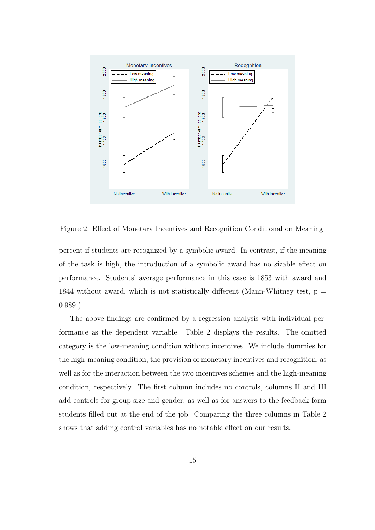

Figure 2: Effect of Monetary Incentives and Recognition Conditional on Meaning

percent if students are recognized by a symbolic award. In contrast, if the meaning of the task is high, the introduction of a symbolic award has no sizable effect on performance. Students' average performance in this case is 1853 with award and 1844 without award, which is not statistically different (Mann-Whitney test,  $p =$ 0.989 ).

The above findings are confirmed by a regression analysis with individual performance as the dependent variable. Table 2 displays the results. The omitted category is the low-meaning condition without incentives. We include dummies for the high-meaning condition, the provision of monetary incentives and recognition, as well as for the interaction between the two incentives schemes and the high-meaning condition, respectively. The first column includes no controls, columns II and III add controls for group size and gender, as well as for answers to the feedback form students filled out at the end of the job. Comparing the three columns in Table 2 shows that adding control variables has no notable effect on our results.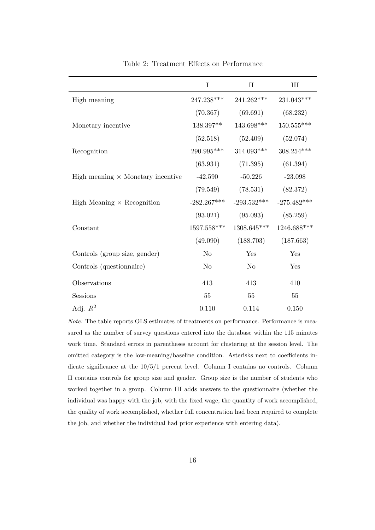|                                          | $\mathbf I$    | $\rm II$               | III           |
|------------------------------------------|----------------|------------------------|---------------|
| High meaning                             | $247.238***$   | 241.262***             | 231.043***    |
|                                          | (70.367)       | (69.691)               | (68.232)      |
| Monetary incentive                       | 138.397**      | $143.698***$           | $150.555***$  |
|                                          | (52.518)       | (52.409)               | (52.074)      |
| Recognition                              | 290.995***     | $314.093***$           | $308.254***$  |
|                                          | (63.931)       | (71.395)               | (61.394)      |
| High meaning $\times$ Monetary incentive | $-42.590$      | $-50.226$              | $-23.098$     |
|                                          | (79.549)       | (78.531)               | (82.372)      |
| High Meaning $\times$ Recognition        | $-282.267***$  | $-293.532***$          | $-275.482***$ |
|                                          | (93.021)       | (95.093)               | (85.259)      |
| Constant                                 | $1597.558***$  | 1308.645***            | 1246.688***   |
|                                          |                | $(49.090)$ $(188.703)$ | (187.663)     |
| Controls (group size, gender)            | N <sub>o</sub> | Yes                    | Yes           |
| Controls (questionnaire)                 | N <sub>o</sub> | N <sub>o</sub>         | Yes           |
| Observations                             | 413            | 413                    | 410           |
| <b>Sessions</b>                          | 55             | 55                     | 55            |
| Adj. $R^2$                               | 0.110          | 0.114                  | 0.150         |

Table 2: Treatment Effects on Performance

Note: The table reports OLS estimates of treatments on performance. Performance is measured as the number of survey questions entered into the database within the 115 minutes work time. Standard errors in parentheses account for clustering at the session level. The omitted category is the low-meaning/baseline condition. Asterisks next to coefficients indicate significance at the 10/5/1 percent level. Column I contains no controls. Column II contains controls for group size and gender. Group size is the number of students who worked together in a group. Column III adds answers to the questionnaire (whether the individual was happy with the job, with the fixed wage, the quantity of work accomplished, the quality of work accomplished, whether full concentration had been required to complete the job, and whether the individual had prior experience with entering data).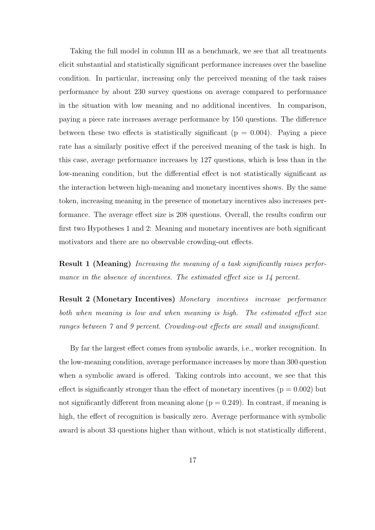Taking the full model in column III as a benchmark, we see that all treatments elicit substantial and statistically significant performance increases over the baseline condition. In particular, increasing only the perceived meaning of the task raises performance by about 230 survey questions on average compared to performance in the situation with low meaning and no additional incentives. In comparison, paying a piece rate increases average performance by 150 questions. The difference between these two effects is statistically significant ( $p = 0.004$ ). Paying a piece rate has a similarly positive effect if the perceived meaning of the task is high. In this case, average performance increases by 127 questions, which is less than in the low-meaning condition, but the differential effect is not statistically significant as the interaction between high-meaning and monetary incentives shows. By the same token, increasing meaning in the presence of monetary incentives also increases performance. The average effect size is 208 questions. Overall, the results confirm our first two Hypotheses 1 and 2: Meaning and monetary incentives are both significant motivators and there are no observable crowding-out effects.

Result 1 (Meaning) Increasing the meaning of a task significantly raises performance in the absence of incentives. The estimated effect size is 14 percent.

Result 2 (Monetary Incentives) Monetary incentives increase performance both when meaning is low and when meaning is high. The estimated effect size ranges between 7 and 9 percent. Crowding-out effects are small and insignificant.

By far the largest effect comes from symbolic awards, i.e., worker recognition. In the low-meaning condition, average performance increases by more than 300 question when a symbolic award is offered. Taking controls into account, we see that this effect is significantly stronger than the effect of monetary incentives  $(p = 0.002)$  but not significantly different from meaning alone  $(p = 0.249)$ . In contrast, if meaning is high, the effect of recognition is basically zero. Average performance with symbolic award is about 33 questions higher than without, which is not statistically different,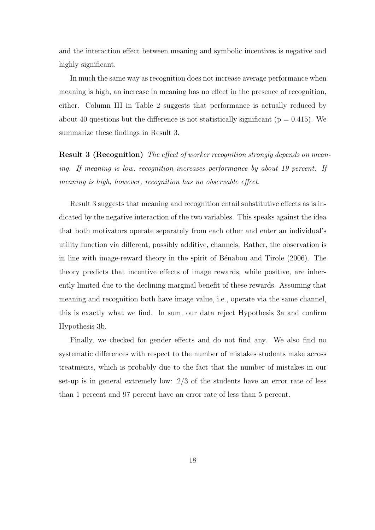and the interaction effect between meaning and symbolic incentives is negative and highly significant.

In much the same way as recognition does not increase average performance when meaning is high, an increase in meaning has no effect in the presence of recognition, either. Column III in Table 2 suggests that performance is actually reduced by about 40 questions but the difference is not statistically significant ( $p = 0.415$ ). We summarize these findings in Result 3.

**Result 3 (Recognition)** The effect of worker recognition strongly depends on meaning. If meaning is low, recognition increases performance by about 19 percent. If meaning is high, however, recognition has no observable effect.

Result 3 suggests that meaning and recognition entail substitutive effects as is indicated by the negative interaction of the two variables. This speaks against the idea that both motivators operate separately from each other and enter an individual's utility function via different, possibly additive, channels. Rather, the observation is in line with image-reward theory in the spirit of Bénabou and Tirole (2006). The theory predicts that incentive effects of image rewards, while positive, are inherently limited due to the declining marginal benefit of these rewards. Assuming that meaning and recognition both have image value, i.e., operate via the same channel, this is exactly what we find. In sum, our data reject Hypothesis 3a and confirm Hypothesis 3b.

Finally, we checked for gender effects and do not find any. We also find no systematic differences with respect to the number of mistakes students make across treatments, which is probably due to the fact that the number of mistakes in our set-up is in general extremely low: 2/3 of the students have an error rate of less than 1 percent and 97 percent have an error rate of less than 5 percent.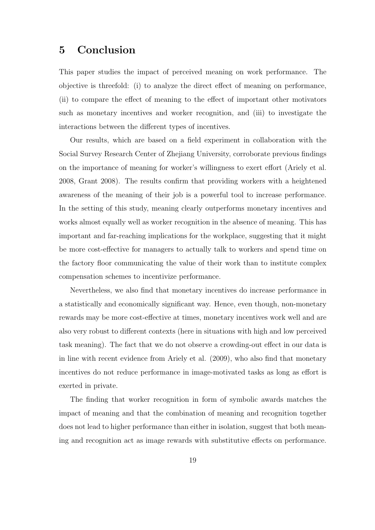## 5 Conclusion

This paper studies the impact of perceived meaning on work performance. The objective is threefold: (i) to analyze the direct effect of meaning on performance, (ii) to compare the effect of meaning to the effect of important other motivators such as monetary incentives and worker recognition, and (iii) to investigate the interactions between the different types of incentives.

Our results, which are based on a field experiment in collaboration with the Social Survey Research Center of Zhejiang University, corroborate previous findings on the importance of meaning for worker's willingness to exert effort (Ariely et al. 2008, Grant 2008). The results confirm that providing workers with a heightened awareness of the meaning of their job is a powerful tool to increase performance. In the setting of this study, meaning clearly outperforms monetary incentives and works almost equally well as worker recognition in the absence of meaning. This has important and far-reaching implications for the workplace, suggesting that it might be more cost-effective for managers to actually talk to workers and spend time on the factory floor communicating the value of their work than to institute complex compensation schemes to incentivize performance.

Nevertheless, we also find that monetary incentives do increase performance in a statistically and economically significant way. Hence, even though, non-monetary rewards may be more cost-effective at times, monetary incentives work well and are also very robust to different contexts (here in situations with high and low perceived task meaning). The fact that we do not observe a crowding-out effect in our data is in line with recent evidence from Ariely et al. (2009), who also find that monetary incentives do not reduce performance in image-motivated tasks as long as effort is exerted in private.

The finding that worker recognition in form of symbolic awards matches the impact of meaning and that the combination of meaning and recognition together does not lead to higher performance than either in isolation, suggest that both meaning and recognition act as image rewards with substitutive effects on performance.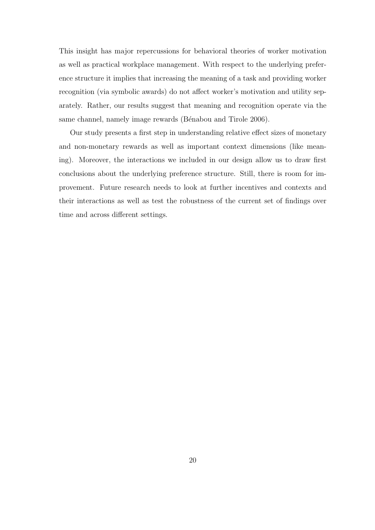This insight has major repercussions for behavioral theories of worker motivation as well as practical workplace management. With respect to the underlying preference structure it implies that increasing the meaning of a task and providing worker recognition (via symbolic awards) do not affect worker's motivation and utility separately. Rather, our results suggest that meaning and recognition operate via the same channel, namely image rewards (Bénabou and Tirole 2006).

Our study presents a first step in understanding relative effect sizes of monetary and non-monetary rewards as well as important context dimensions (like meaning). Moreover, the interactions we included in our design allow us to draw first conclusions about the underlying preference structure. Still, there is room for improvement. Future research needs to look at further incentives and contexts and their interactions as well as test the robustness of the current set of findings over time and across different settings.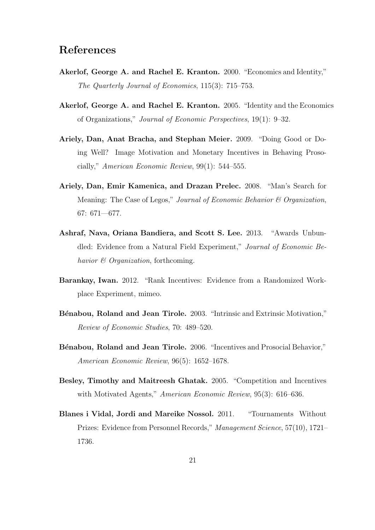## References

- Akerlof, George A. and Rachel E. Kranton. 2000. "Economics and Identity," The Quarterly Journal of Economics, 115(3): 715–753.
- Akerlof, George A. and Rachel E. Kranton. 2005. "Identity and the Economics of Organizations," Journal of Economic Perspectives, 19(1): 9–32.
- Ariely, Dan, Anat Bracha, and Stephan Meier. 2009. "Doing Good or Doing Well? Image Motivation and Monetary Incentives in Behaving Prosocially," American Economic Review, 99(1): 544–555.
- Ariely, Dan, Emir Kamenica, and Drazan Prelec. 2008. "Man's Search for Meaning: The Case of Legos," Journal of Economic Behavior  $\mathcal C$  Organization, 67: 671—677.
- Ashraf, Nava, Oriana Bandiera, and Scott S. Lee. 2013. "Awards Unbundled: Evidence from a Natural Field Experiment," Journal of Economic Behavior  $\mathcal B$  Organization, forthcoming.
- Barankay, Iwan. 2012. "Rank Incentives: Evidence from a Randomized Workplace Experiment, mimeo.
- Bénabou, Roland and Jean Tirole. 2003. "Intrinsic and Extrinsic Motivation," Review of Economic Studies, 70: 489–520.
- Bénabou, Roland and Jean Tirole. 2006. "Incentives and Prosocial Behavior," American Economic Review, 96(5): 1652–1678.
- Besley, Timothy and Maitreesh Ghatak. 2005. "Competition and Incentives with Motivated Agents," American Economic Review, 95(3): 616–636.
- Blanes i Vidal, Jordi and Mareike Nossol. 2011. "Tournaments Without Prizes: Evidence from Personnel Records," Management Science, 57(10), 1721– 1736.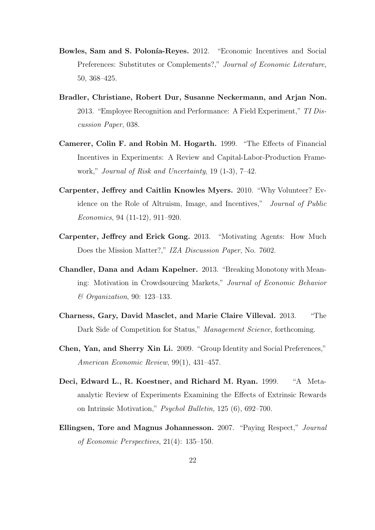- Bowles, Sam and S. Polonía-Reyes. 2012. "Economic Incentives and Social Preferences: Substitutes or Complements?," Journal of Economic Literature, 50, 368–425.
- Bradler, Christiane, Robert Dur, Susanne Neckermann, and Arjan Non. 2013. "Employee Recognition and Performance: A Field Experiment," TI Discussion Paper, 038.
- Camerer, Colin F. and Robin M. Hogarth. 1999. "The Effects of Financial Incentives in Experiments: A Review and Capital-Labor-Production Framework," Journal of Risk and Uncertainty, 19 (1-3), 7–42.
- Carpenter, Jeffrey and Caitlin Knowles Myers. 2010. "Why Volunteer? Evidence on the Role of Altruism, Image, and Incentives," Journal of Public Economics, 94 (11-12), 911–920.
- Carpenter, Jeffrey and Erick Gong. 2013. "Motivating Agents: How Much Does the Mission Matter?," IZA Discussion Paper, No. 7602.
- Chandler, Dana and Adam Kapelner. 2013. "Breaking Monotony with Meaning: Motivation in Crowdsourcing Markets," Journal of Economic Behavior & Organization, 90: 123–133.
- Charness, Gary, David Masclet, and Marie Claire Villeval. 2013. "The Dark Side of Competition for Status," Management Science, forthcoming.
- Chen, Yan, and Sherry Xin Li. 2009. "Group Identity and Social Preferences," American Economic Review, 99(1), 431–457.
- Deci, Edward L., R. Koestner, and Richard M. Ryan. 1999. "A Metaanalytic Review of Experiments Examining the Effects of Extrinsic Rewards on Intrinsic Motivation," Psychol Bulletin, 125 (6), 692–700.
- Ellingsen, Tore and Magnus Johannesson. 2007. "Paying Respect," Journal of Economic Perspectives, 21(4): 135–150.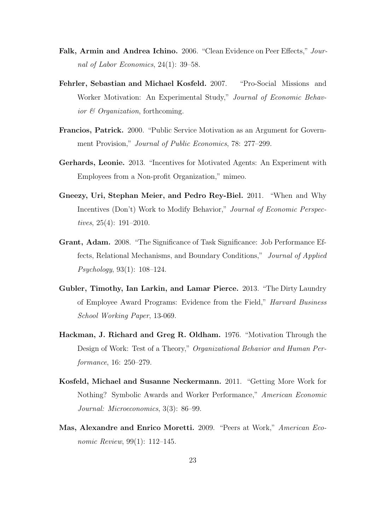- Falk, Armin and Andrea Ichino. 2006. "Clean Evidence on Peer Effects," Journal of Labor Economics, 24(1): 39–58.
- Fehrler, Sebastian and Michael Kosfeld. 2007. "Pro-Social Missions and Worker Motivation: An Experimental Study," Journal of Economic Behavior & Organization, forthcoming.
- Francios, Patrick. 2000. "Public Service Motivation as an Argument for Government Provision," Journal of Public Economics, 78: 277–299.
- Gerhards, Leonie. 2013. "Incentives for Motivated Agents: An Experiment with Employees from a Non-profit Organization," mimeo.
- Gneezy, Uri, Stephan Meier, and Pedro Rey-Biel. 2011. "When and Why Incentives (Don't) Work to Modify Behavior," Journal of Economic Perspectives, 25(4): 191–2010.
- Grant, Adam. 2008. "The Significance of Task Significance: Job Performance Effects, Relational Mechanisms, and Boundary Conditions," Journal of Applied Psychology, 93(1): 108–124.
- Gubler, Timothy, Ian Larkin, and Lamar Pierce. 2013. "The Dirty Laundry of Employee Award Programs: Evidence from the Field," Harvard Business School Working Paper, 13-069.
- Hackman, J. Richard and Greg R. Oldham. 1976. "Motivation Through the Design of Work: Test of a Theory," Organizational Behavior and Human Performance, 16: 250–279.
- Kosfeld, Michael and Susanne Neckermann. 2011. "Getting More Work for Nothing? Symbolic Awards and Worker Performance," American Economic Journal: Microeconomics, 3(3): 86–99.
- Mas, Alexandre and Enrico Moretti. 2009. "Peers at Work," American Economic Review, 99(1): 112–145.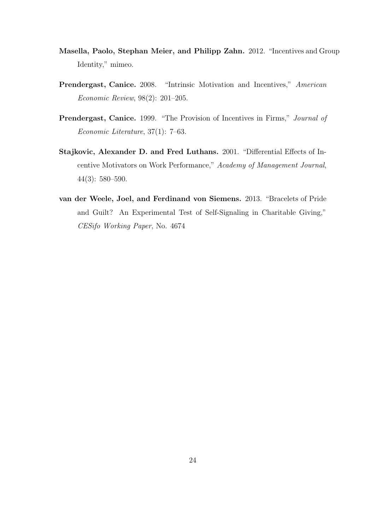- Masella, Paolo, Stephan Meier, and Philipp Zahn. 2012. "Incentives and Group Identity," mimeo.
- Prendergast, Canice. 2008. "Intrinsic Motivation and Incentives," American Economic Review, 98(2): 201–205.
- Prendergast, Canice. 1999. "The Provision of Incentives in Firms," Journal of Economic Literature, 37(1): 7–63.
- Stajkovic, Alexander D. and Fred Luthans. 2001. "Differential Effects of Incentive Motivators on Work Performance," Academy of Management Journal, 44(3): 580–590.
- van der Weele, Joel, and Ferdinand von Siemens. 2013. "Bracelets of Pride and Guilt? An Experimental Test of Self-Signaling in Charitable Giving," CESifo Working Paper, No. 4674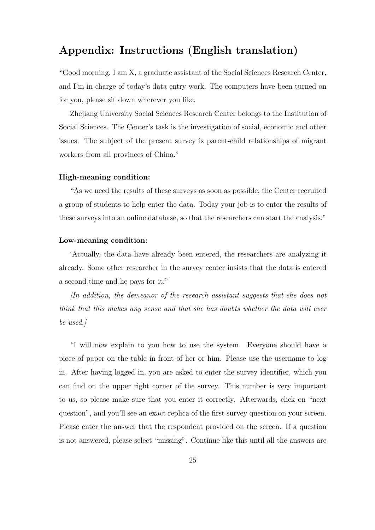## Appendix: Instructions (English translation)

"Good morning, I am X, a graduate assistant of the Social Sciences Research Center, and I'm in charge of today's data entry work. The computers have been turned on for you, please sit down wherever you like.

Zhejiang University Social Sciences Research Center belongs to the Institution of Social Sciences. The Center's task is the investigation of social, economic and other issues. The subject of the present survey is parent-child relationships of migrant workers from all provinces of China."

### High-meaning condition:

"As we need the results of these surveys as soon as possible, the Center recruited a group of students to help enter the data. Today your job is to enter the results of these surveys into an online database, so that the researchers can start the analysis."

#### Low-meaning condition:

'Actually, the data have already been entered, the researchers are analyzing it already. Some other researcher in the survey center insists that the data is entered a second time and he pays for it."

[In addition, the demeanor of the research assistant suggests that she does not think that this makes any sense and that she has doubts whether the data will ever be used.]

"I will now explain to you how to use the system. Everyone should have a piece of paper on the table in front of her or him. Please use the username to log in. After having logged in, you are asked to enter the survey identifier, which you can find on the upper right corner of the survey. This number is very important to us, so please make sure that you enter it correctly. Afterwards, click on "next question", and you'll see an exact replica of the first survey question on your screen. Please enter the answer that the respondent provided on the screen. If a question is not answered, please select "missing". Continue like this until all the answers are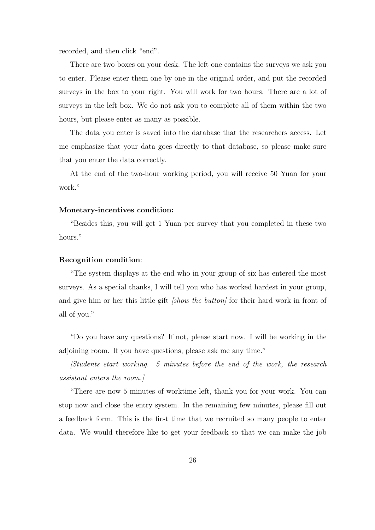recorded, and then click "end".

There are two boxes on your desk. The left one contains the surveys we ask you to enter. Please enter them one by one in the original order, and put the recorded surveys in the box to your right. You will work for two hours. There are a lot of surveys in the left box. We do not ask you to complete all of them within the two hours, but please enter as many as possible.

The data you enter is saved into the database that the researchers access. Let me emphasize that your data goes directly to that database, so please make sure that you enter the data correctly.

At the end of the two-hour working period, you will receive 50 Yuan for your work."

#### Monetary-incentives condition:

"Besides this, you will get 1 Yuan per survey that you completed in these two hours."

#### Recognition condition:

"The system displays at the end who in your group of six has entered the most surveys. As a special thanks, I will tell you who has worked hardest in your group, and give him or her this little gift *[show the button]* for their hard work in front of all of you."

"Do you have any questions? If not, please start now. I will be working in the adjoining room. If you have questions, please ask me any time."

[Students start working. 5 minutes before the end of the work, the research assistant enters the room.]

"There are now 5 minutes of worktime left, thank you for your work. You can stop now and close the entry system. In the remaining few minutes, please fill out a feedback form. This is the first time that we recruited so many people to enter data. We would therefore like to get your feedback so that we can make the job